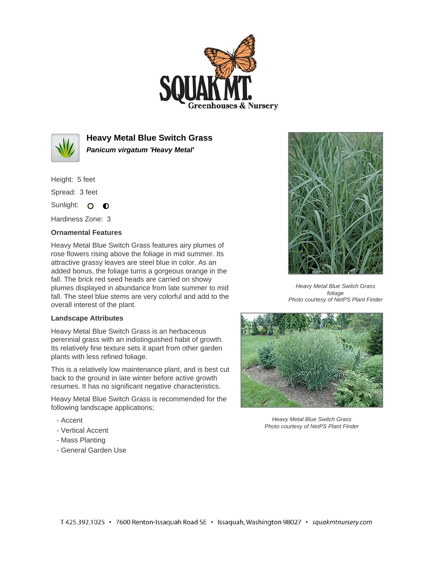



**Heavy Metal Blue Switch Grass Panicum virgatum 'Heavy Metal'**

Height: 5 feet Spread: 3 feet

Sunlight: O **O** 

Hardiness Zone: 3

## **Ornamental Features**

Heavy Metal Blue Switch Grass features airy plumes of rose flowers rising above the foliage in mid summer. Its attractive grassy leaves are steel blue in color. As an added bonus, the foliage turns a gorgeous orange in the fall. The brick red seed heads are carried on showy plumes displayed in abundance from late summer to mid fall. The steel blue stems are very colorful and add to the overall interest of the plant.

## **Landscape Attributes**

Heavy Metal Blue Switch Grass is an herbaceous perennial grass with an indistinguished habit of growth. Its relatively fine texture sets it apart from other garden plants with less refined foliage.

This is a relatively low maintenance plant, and is best cut back to the ground in late winter before active growth resumes. It has no significant negative characteristics.

Heavy Metal Blue Switch Grass is recommended for the following landscape applications;

- Accent
- Vertical Accent
- Mass Planting
- General Garden Use



Heavy Metal Blue Switch Grass foliage Photo courtesy of NetPS Plant Finder



Heavy Metal Blue Switch Grass Photo courtesy of NetPS Plant Finder